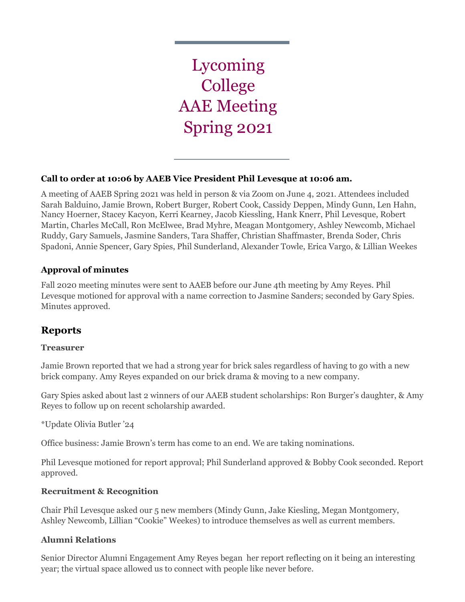Lycoming College AAE Meeting Spring 2021

# **Call to order at 10:06 by AAEB Vice President Phil Levesque at 10:06 am.**

A meeting of AAEB Spring 2021 was held in person & via Zoom on June 4, 2021. Attendees included Sarah Balduino, Jamie Brown, Robert Burger, Robert Cook, Cassidy Deppen, Mindy Gunn, Len Hahn, Nancy Hoerner, Stacey Kacyon, Kerri Kearney, Jacob Kiessling, Hank Knerr, Phil Levesque, Robert Martin, Charles McCall, Ron McElwee, Brad Myhre, Meagan Montgomery, Ashley Newcomb, Michael Ruddy, Gary Samuels, Jasmine Sanders, Tara Shaffer, Christian Shaffmaster, Brenda Soder, Chris Spadoni, Annie Spencer, Gary Spies, Phil Sunderland, Alexander Towle, Erica Vargo, & Lillian Weekes

# **Approval of minutes**

Fall 2020 meeting minutes were sent to AAEB before our June 4th meeting by Amy Reyes. Phil Levesque motioned for approval with a name correction to Jasmine Sanders; seconded by Gary Spies. Minutes approved.

# **Reports**

# **Treasurer**

Jamie Brown reported that we had a strong year for brick sales regardless of having to go with a new brick company. Amy Reyes expanded on our brick drama & moving to a new company.

Gary Spies asked about last 2 winners of our AAEB student scholarships: Ron Burger's daughter, & Amy Reyes to follow up on recent scholarship awarded.

\*Update Olivia Butler '24

Office business: Jamie Brown's term has come to an end. We are taking nominations.

Phil Levesque motioned for report approval; Phil Sunderland approved & Bobby Cook seconded. Report approved.

# **Recruitment & Recognition**

Chair Phil Levesque asked our 5 new members (Mindy Gunn, Jake Kiesling, Megan Montgomery, Ashley Newcomb, Lillian "Cookie" Weekes) to introduce themselves as well as current members.

# **Alumni Relations**

Senior Director Alumni Engagement Amy Reyes began her report reflecting on it being an interesting year; the virtual space allowed us to connect with people like never before.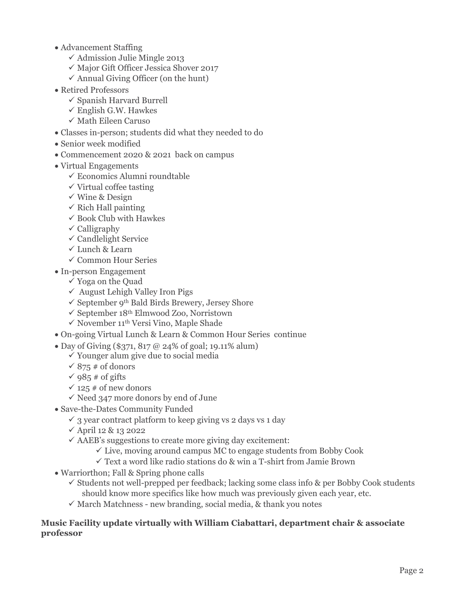- Advancement Staffing
	- $\checkmark$  Admission Julie Mingle 2013
	- $\checkmark$ Major Gift Officer Jessica Shover 2017
	- $\checkmark$  Annual Giving Officer (on the hunt)
- Retired Professors
	- $\checkmark$  Spanish Harvard Burrell
	- $\checkmark$  English G.W. Hawkes
	- $\checkmark$  Math Eileen Caruso
- Classes in-person; students did what they needed to do
- Senior week modified
- Commencement 2020 & 2021 back on campus
- Virtual Engagements
	- $\checkmark$  Economics Alumni roundtable
	- $\checkmark$  Virtual coffee tasting
	- $\checkmark$  Wine & Design
	- $\checkmark$  Rich Hall painting
	- $\checkmark$  Book Club with Hawkes
	- $\checkmark$  Calligraphy
	- $\checkmark$  Candlelight Service
	- $\checkmark$  Lunch & Learn
	- $\checkmark$  Common Hour Series
- In-person Engagement
	- $\checkmark$  Yoga on the Quad
	- $\checkmark$  August Lehigh Valley Iron Pigs
	- $\checkmark$  September 9<sup>th</sup> Bald Birds Brewery, Jersey Shore
	- $\checkmark$  September 18<sup>th</sup> Elmwood Zoo, Norristown
	- $\checkmark$  November 11<sup>th</sup> Versi Vino, Maple Shade
- On-going Virtual Lunch & Learn & Common Hour Series continue
- Day of Giving (\$371, 817 @ 24% of goal; 19.11% alum)
	- $\checkmark$  Younger alum give due to social media
	- $\sqrt{875}$  # of donors
	- $\checkmark$  985 # of gifts
	- $\checkmark$  125 # of new donors
	- $\checkmark$  Need 347 more donors by end of June
- Save-the-Dates Community Funded
	- $\checkmark$  3 year contract platform to keep giving vs 2 days vs 1 day
	- $\checkmark$  April 12 & 13 2022
	- $\checkmark$  AAEB's suggestions to create more giving day excitement:
		- $\checkmark$  Live, moving around campus MC to engage students from Bobby Cook
		- $\checkmark$  Text a word like radio stations do & win a T-shirt from Jamie Brown
- Warriorthon; Fall & Spring phone calls
	- $\checkmark$  Students not well-prepped per feedback; lacking some class info & per Bobby Cook students should know more specifics like how much was previously given each year, etc.
	- $\checkmark$  March Matchness new branding, social media, & thank you notes

#### **Music Facility update virtually with William Ciabattari, department chair & associate professor**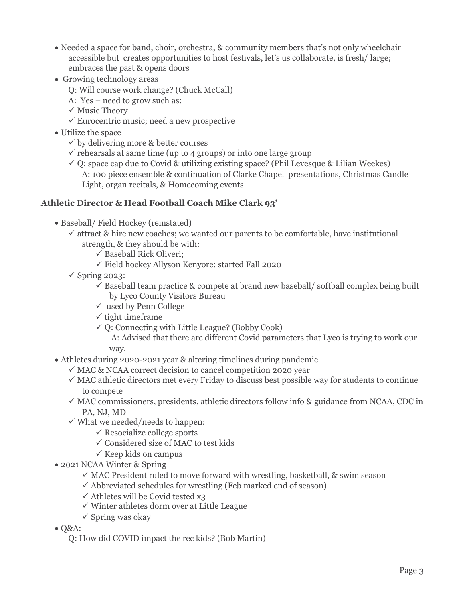- Needed a space for band, choir, orchestra, & community members that's not only wheelchair accessible but creates opportunities to host festivals, let's us collaborate, is fresh/ large; embraces the past & opens doors
- Growing technology areas
	- Q: Will course work change? (Chuck McCall)
	- A: Yes need to grow such as:
	- $\checkmark$  Music Theory
	- $\checkmark$  Eurocentric music; need a new prospective
- Utilize the space
	- $\checkmark$  by delivering more & better courses
	- $\checkmark$  rehearsals at same time (up to 4 groups) or into one large group
	- $\checkmark$  Q: space cap due to Covid & utilizing existing space? (Phil Levesque & Lilian Weekes) A: 100 piece ensemble & continuation of Clarke Chapel presentations, Christmas Candle Light, organ recitals, & Homecoming events

# **Athletic Director & Head Football Coach Mike Clark 93'**

- Baseball/ Field Hockey (reinstated)
	- $\checkmark$  attract & hire new coaches; we wanted our parents to be comfortable, have institutional strength, & they should be with:
		- $\checkmark$  Baseball Rick Oliveri;
		- $\checkmark$  Field hockey Allyson Kenyore; started Fall 2020
	- $\checkmark$  Spring 2023:
		- $\checkmark$  Baseball team practice & compete at brand new baseball/ softball complex being built by Lyco County Visitors Bureau
		- $\checkmark$  used by Penn College
		- $\checkmark$  tight timeframe
		- $\checkmark$  Q: Connecting with Little League? (Bobby Cook) A: Advised that there are different Covid parameters that Lyco is trying to work our way.
- Athletes during 2020-2021 year & altering timelines during pandemic
	- $\checkmark$  MAC & NCAA correct decision to cancel competition 2020 year
	- $\checkmark$  MAC athletic directors met every Friday to discuss best possible way for students to continue to compete
	- $\checkmark$  MAC commissioners, presidents, athletic directors follow info & guidance from NCAA, CDC in PA, NJ, MD
	- $\checkmark$  What we needed/needs to happen:
		- $\checkmark$  Resocialize college sports
		- $\checkmark$  Considered size of MAC to test kids
		- $\checkmark$  Keep kids on campus
- 2021 NCAA Winter & Spring
	- $\checkmark$  MAC President ruled to move forward with wrestling, basketball, & swim season
	- $\checkmark$  Abbreviated schedules for wrestling (Feb marked end of season)
	- $\checkmark$  Athletes will be Covid tested x3
	- $\checkmark$  Winter athletes dorm over at Little League
	- $\checkmark$  Spring was okay
- Q&A:
	- Q: How did COVID impact the rec kids? (Bob Martin)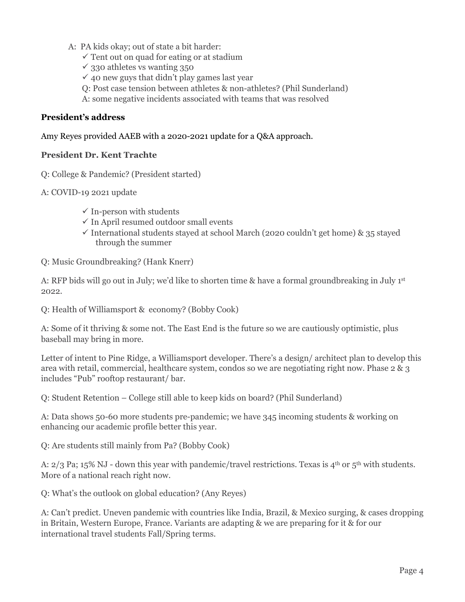- A: PA kids okay; out of state a bit harder:
	- $\checkmark$  Tent out on quad for eating or at stadium
	- $\checkmark$  330 athletes vs wanting 350
	- $\checkmark$  40 new guys that didn't play games last year
	- Q: Post case tension between athletes & non-athletes? (Phil Sunderland)
	- A: some negative incidents associated with teams that was resolved

#### **President's address**

Amy Reyes provided AAEB with a 2020-2021 update for a Q&A approach.

#### **President Dr. Kent Trachte**

- Q: College & Pandemic? (President started)
- A: COVID-19 2021 update
	- $\checkmark$  In-person with students
	- $\checkmark$  In April resumed outdoor small events
	- $\checkmark$  International students stayed at school March (2020 couldn't get home) & 35 stayed through the summer
- Q: Music Groundbreaking? (Hank Knerr)

A: RFP bids will go out in July; we'd like to shorten time & have a formal groundbreaking in July 1st 2022.

Q: Health of Williamsport & economy? (Bobby Cook)

A: Some of it thriving & some not. The East End is the future so we are cautiously optimistic, plus baseball may bring in more.

Letter of intent to Pine Ridge, a Williamsport developer. There's a design/ architect plan to develop this area with retail, commercial, healthcare system, condos so we are negotiating right now. Phase 2 & 3 includes "Pub" rooftop restaurant/ bar.

Q: Student Retention – College still able to keep kids on board? (Phil Sunderland)

A: Data shows 50-60 more students pre-pandemic; we have 345 incoming students & working on enhancing our academic profile better this year.

Q: Are students still mainly from Pa? (Bobby Cook)

A:  $2/3$  Pa; 15% NJ - down this year with pandemic/travel restrictions. Texas is  $4<sup>th</sup>$  or  $5<sup>th</sup>$  with students. More of a national reach right now.

Q: What's the outlook on global education? (Any Reyes)

A: Can't predict. Uneven pandemic with countries like India, Brazil, & Mexico surging, & cases dropping in Britain, Western Europe, France. Variants are adapting & we are preparing for it & for our international travel students Fall/Spring terms.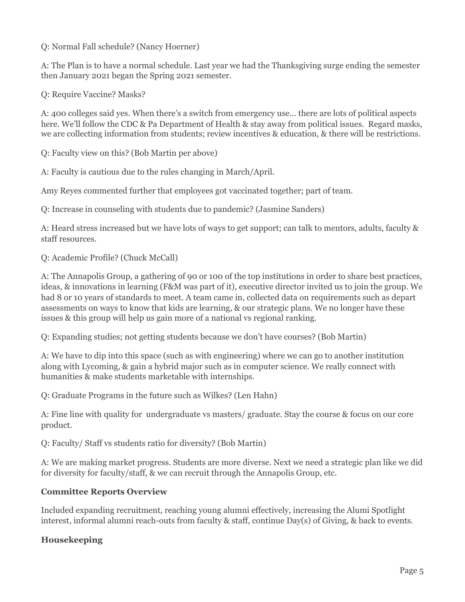Q: Normal Fall schedule? (Nancy Hoerner)

A: The Plan is to have a normal schedule. Last year we had the Thanksgiving surge ending the semester then January 2021 began the Spring 2021 semester.

Q: Require Vaccine? Masks?

A: 400 colleges said yes. When there's a switch from emergency use… there are lots of political aspects here. We'll follow the CDC & Pa Department of Health & stay away from political issues. Regard masks, we are collecting information from students; review incentives & education, & there will be restrictions.

Q: Faculty view on this? (Bob Martin per above)

A: Faculty is cautious due to the rules changing in March/April.

Amy Reyes commented further that employees got vaccinated together; part of team.

Q: Increase in counseling with students due to pandemic? (Jasmine Sanders)

A: Heard stress increased but we have lots of ways to get support; can talk to mentors, adults, faculty & staff resources.

Q: Academic Profile? (Chuck McCall)

A: The Annapolis Group, a gathering of 90 or 100 of the top institutions in order to share best practices, ideas, & innovations in learning (F&M was part of it), executive director invited us to join the group. We had 8 or 10 years of standards to meet. A team came in, collected data on requirements such as depart assessments on ways to know that kids are learning, & our strategic plans. We no longer have these issues & this group will help us gain more of a national vs regional ranking.

Q: Expanding studies; not getting students because we don't have courses? (Bob Martin)

A: We have to dip into this space (such as with engineering) where we can go to another institution along with Lycoming, & gain a hybrid major such as in computer science. We really connect with humanities & make students marketable with internships.

Q: Graduate Programs in the future such as Wilkes? (Len Hahn)

A: Fine line with quality for undergraduate vs masters/ graduate. Stay the course & focus on our core product.

Q: Faculty/ Staff vs students ratio for diversity? (Bob Martin)

A: We are making market progress. Students are more diverse. Next we need a strategic plan like we did for diversity for faculty/staff, & we can recruit through the Annapolis Group, etc.

# **Committee Reports Overview**

Included expanding recruitment, reaching young alumni effectively, increasing the Alumi Spotlight interest, informal alumni reach-outs from faculty & staff, continue Day(s) of Giving, & back to events.

# **Housekeeping**